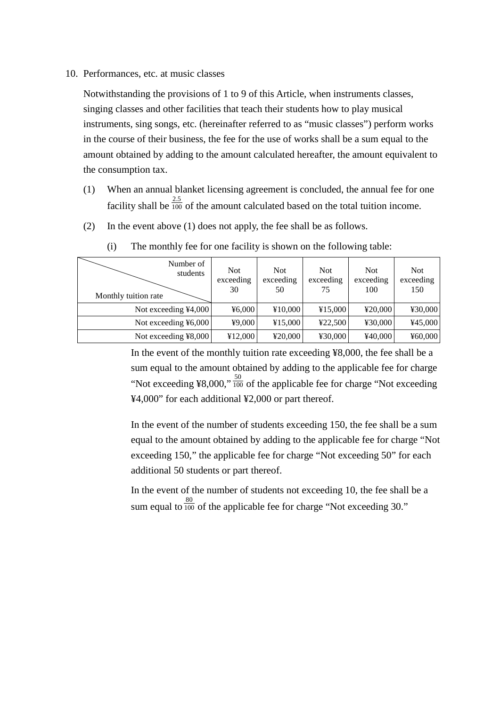10. Performances, etc. at music classes

Notwithstanding the provisions of 1 to 9 of this Article, when instruments classes, singing classes and other facilities that teach their students how to play musical instruments, sing songs, etc. (hereinafter referred to as "music classes") perform works in the course of their business, the fee for the use of works shall be a sum equal to the amount obtained by adding to the amount calculated hereafter, the amount equivalent to the consumption tax.

- (1) When an annual blanket licensing agreement is concluded, the annual fee for one facility shall be  $\frac{2.5}{100}$  of the amount calculated based on the total tuition income.
- (2) In the event above (1) does not apply, the fee shall be as follows.

| Number of<br>students<br>Monthly tuition rate | <b>Not</b><br>exceeding<br>30 | <b>Not</b><br>exceeding<br>50 | <b>Not</b><br>exceeding<br>75 | <b>Not</b><br>exceeding<br>100 | <b>Not</b><br>exceeding<br>150 |
|-----------------------------------------------|-------------------------------|-------------------------------|-------------------------------|--------------------------------|--------------------------------|
| Not exceeding $4,000$                         | 46,000                        | ¥10,000                       | ¥15,000                       | ¥20,000                        | ¥30,000                        |
| Not exceeding $46,000$                        | ¥9,000                        | ¥15,000                       | 422,500                       | ¥30,000                        | ¥45,000                        |
| Not exceeding ¥8,000                          | ¥12,000                       | ¥20,000                       | ¥30,000                       | ¥40,000                        | ¥ $60,000$                     |

(i) The monthly fee for one facility is shown on the following table:

In the event of the monthly tuition rate exceeding ¥8,000, the fee shall be a sum equal to the amount obtained by adding to the applicable fee for charge "Not exceeding ¥8,000,"  $\frac{50}{100}$  of the applicable fee for charge "Not exceeding" ¥4,000" for each additional ¥2,000 or part thereof.

In the event of the number of students exceeding 150, the fee shall be a sum equal to the amount obtained by adding to the applicable fee for charge "Not exceeding 150," the applicable fee for charge "Not exceeding 50" for each additional 50 students or part thereof.

In the event of the number of students not exceeding 10, the fee shall be a sum equal to  $\frac{80}{100}$  of the applicable fee for charge "Not exceeding 30."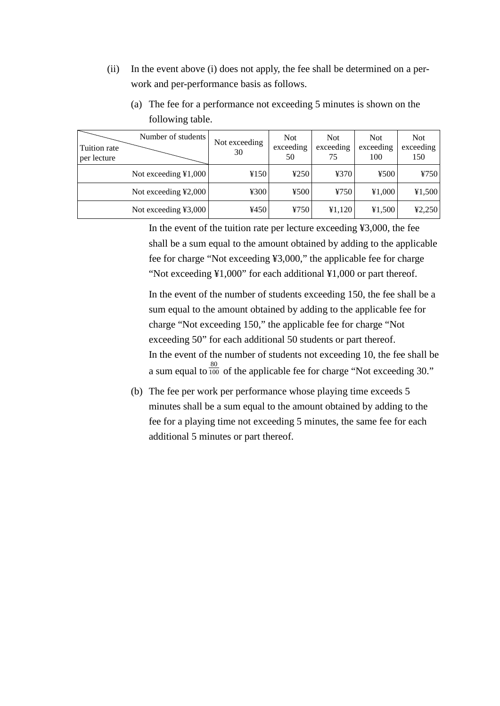(ii) In the event above (i) does not apply, the fee shall be determined on a perwork and per-performance basis as follows.

| Tuition rate<br>per lecture | Number of students         | Not exceeding<br>30 | <b>Not</b><br>exceeding<br>50 | <b>Not</b><br>exceeding<br>75 | <b>Not</b><br>exceeding<br>100 | <b>Not</b><br>exceeding<br>150 |
|-----------------------------|----------------------------|---------------------|-------------------------------|-------------------------------|--------------------------------|--------------------------------|
|                             | Not exceeding $\yen 1,000$ | ¥150                | 4250                          | ¥370                          | 4500                           | ¥750                           |
|                             | Not exceeding ¥2,000       | ¥300                | 4500                          | 4750                          | 41,000                         | 41,500                         |
|                             | Not exceeding ¥3,000       | ¥450                | 4750                          | 41,120                        | 41,500                         | 42,250                         |

(a) The fee for a performance not exceeding 5 minutes is shown on the following table.

In the event of the tuition rate per lecture exceeding ¥3,000, the fee shall be a sum equal to the amount obtained by adding to the applicable fee for charge "Not exceeding ¥3,000," the applicable fee for charge "Not exceeding ¥1,000" for each additional ¥1,000 or part thereof.

In the event of the number of students exceeding 150, the fee shall be a sum equal to the amount obtained by adding to the applicable fee for charge "Not exceeding 150," the applicable fee for charge "Not exceeding 50" for each additional 50 students or part thereof. In the event of the number of students not exceeding 10, the fee shall be a sum equal to  $\frac{80}{100}$  of the applicable fee for charge "Not exceeding 30."

(b) The fee per work per performance whose playing time exceeds 5 minutes shall be a sum equal to the amount obtained by adding to the fee for a playing time not exceeding 5 minutes, the same fee for each additional 5 minutes or part thereof.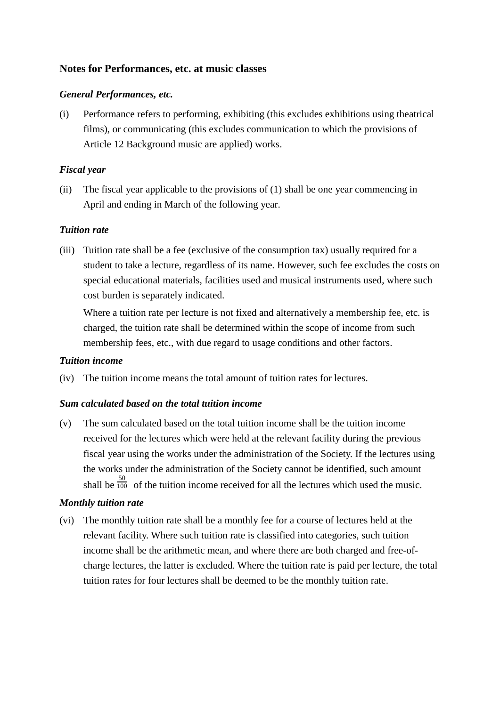# **Notes for Performances, etc. at music classes**

### *General Performances, etc.*

(i) Performance refers to performing, exhibiting (this excludes exhibitions using theatrical films), or communicating (this excludes communication to which the provisions of Article 12 Background music are applied) works.

### *Fiscal year*

(ii) The fiscal year applicable to the provisions of (1) shall be one year commencing in April and ending in March of the following year.

### *Tuition rate*

(iii) Tuition rate shall be a fee (exclusive of the consumption tax) usually required for a student to take a lecture, regardless of its name. However, such fee excludes the costs on special educational materials, facilities used and musical instruments used, where such cost burden is separately indicated.

Where a tuition rate per lecture is not fixed and alternatively a membership fee, etc. is charged, the tuition rate shall be determined within the scope of income from such membership fees, etc., with due regard to usage conditions and other factors.

#### *Tuition income*

(iv) The tuition income means the total amount of tuition rates for lectures.

#### *Sum calculated based on the total tuition income*

(v) The sum calculated based on the total tuition income shall be the tuition income received for the lectures which were held at the relevant facility during the previous fiscal year using the works under the administration of the Society. If the lectures using the works under the administration of the Society cannot be identified, such amount shall be  $\frac{50}{100}$  of the tuition income received for all the lectures which used the music.

#### *Monthly tuition rate*

(vi) The monthly tuition rate shall be a monthly fee for a course of lectures held at the relevant facility. Where such tuition rate is classified into categories, such tuition income shall be the arithmetic mean, and where there are both charged and free-ofcharge lectures, the latter is excluded. Where the tuition rate is paid per lecture, the total tuition rates for four lectures shall be deemed to be the monthly tuition rate.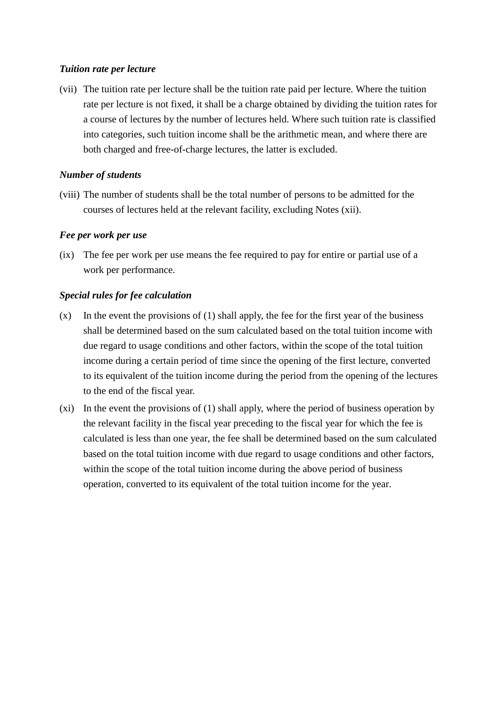### *Tuition rate per lecture*

(vii) The tuition rate per lecture shall be the tuition rate paid per lecture. Where the tuition rate per lecture is not fixed, it shall be a charge obtained by dividing the tuition rates for a course of lectures by the number of lectures held. Where such tuition rate is classified into categories, such tuition income shall be the arithmetic mean, and where there are both charged and free-of-charge lectures, the latter is excluded.

# *Number of students*

(viii) The number of students shall be the total number of persons to be admitted for the courses of lectures held at the relevant facility, excluding Notes (xii).

# *Fee per work per use*

(ix) The fee per work per use means the fee required to pay for entire or partial use of a work per performance.

# *Special rules for fee calculation*

- $(x)$  In the event the provisions of (1) shall apply, the fee for the first year of the business shall be determined based on the sum calculated based on the total tuition income with due regard to usage conditions and other factors, within the scope of the total tuition income during a certain period of time since the opening of the first lecture, converted to its equivalent of the tuition income during the period from the opening of the lectures to the end of the fiscal year.
- (xi) In the event the provisions of (1) shall apply, where the period of business operation by the relevant facility in the fiscal year preceding to the fiscal year for which the fee is calculated is less than one year, the fee shall be determined based on the sum calculated based on the total tuition income with due regard to usage conditions and other factors, within the scope of the total tuition income during the above period of business operation, converted to its equivalent of the total tuition income for the year.